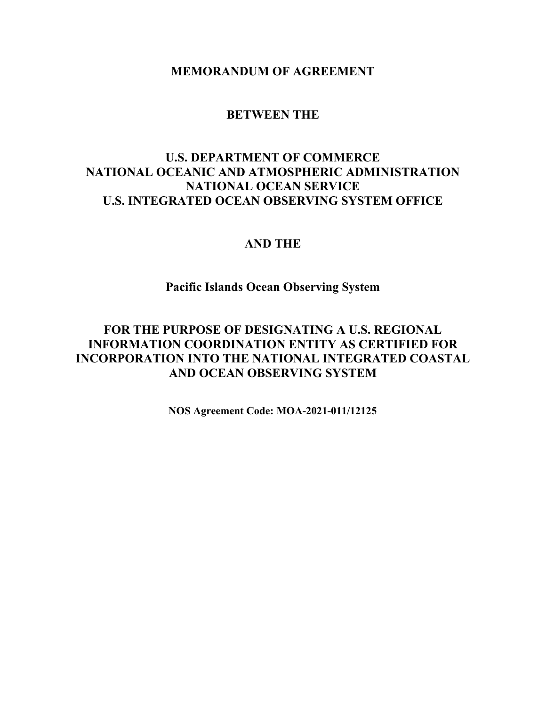**MEMORANDUM OF AGREEMENT**

## **BETWEEN THE**

# **U.S. DEPARTMENT OF COMMERCE NATIONAL OCEANIC AND ATMOSPHERIC ADMINISTRATION NATIONAL OCEAN SERVICE U.S. INTEGRATED OCEAN OBSERVING SYSTEM OFFICE**

## **AND THE**

# **Pacific Islands Ocean Observing System**

# **FOR THE PURPOSE OF DESIGNATING A U.S. REGIONAL INFORMATION COORDINATION ENTITY AS CERTIFIED FOR INCORPORATION INTO THE NATIONAL INTEGRATED COASTAL AND OCEAN OBSERVING SYSTEM**

**NOS Agreement Code: MOA-2021-011/12125**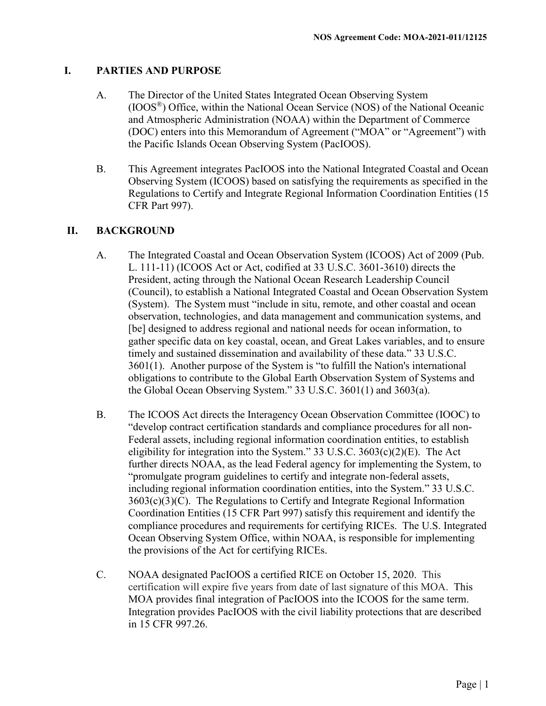#### **I. PARTIES AND PURPOSE**

- A. The Director of the United States Integrated Ocean Observing System (IOOS®) Office, within the National Ocean Service (NOS) of the National Oceanic and Atmospheric Administration (NOAA) within the Department of Commerce (DOC) enters into this Memorandum of Agreement ("MOA" or "Agreement") with the Pacific Islands Ocean Observing System (PacIOOS).
- B. This Agreement integrates PacIOOS into the National Integrated Coastal and Ocean Observing System (ICOOS) based on satisfying the requirements as specified in the Regulations to Certify and Integrate Regional Information Coordination Entities (15 CFR Part 997).

### **II. BACKGROUND**

- A. The Integrated Coastal and Ocean Observation System (ICOOS) Act of 2009 [\(Pub.](http://api.fdsys.gov/link?collection=plaw&congress=111&lawtype=public&lawnum=11&link-type=html)  [L. 111-11\)](http://api.fdsys.gov/link?collection=plaw&congress=111&lawtype=public&lawnum=11&link-type=html) (ICOOS Act or Act, codified at [33 U.S.C. 3601-](http://api.fdsys.gov/link?collection=uscode&title=33&year=mostrecent§ion=3601&type=usc&link-type=html)3610) directs the President, acting through the National Ocean Research Leadership Council (Council), to establish a National Integrated Coastal and Ocean Observation System (System). The System must "include in situ, remote, and other coastal and ocean observation, technologies, and data management and communication systems, and [be] designed to address regional and national needs for ocean information, to gather specific data on key coastal, ocean, and Great Lakes variables, and to ensure timely and sustained dissemination and availability of these data." [33 U.S.C.](http://api.fdsys.gov/link?collection=uscode&title=33&year=mostrecent§ion=3601&type=usc&link-type=html)  [3601\(](http://api.fdsys.gov/link?collection=uscode&title=33&year=mostrecent§ion=3601&type=usc&link-type=html)1). Another purpose of the System is "to fulfill the Nation's international obligations to contribute to the Global Earth Observation System of Systems and the Global Ocean Observing System." [33 U.S.C. 3601\(](http://api.fdsys.gov/link?collection=uscode&title=33&year=mostrecent§ion=3601&type=usc&link-type=html)1) and 3603(a).
- B. The ICOOS Act directs the Interagency Ocean Observation Committee (IOOC) to "develop contract certification standards and compliance procedures for all non-Federal assets, including regional information coordination entities, to establish eligibility for integration into the System." [33 U.S.C. 3603\(](http://api.fdsys.gov/link?collection=uscode&title=33&year=mostrecent§ion=3603&type=usc&link-type=html)c)(2)(E). The Act further directs NOAA, as the lead Federal agency for implementing the System, to "promulgate program guidelines to certify and integrate non-federal assets, including regional information coordination entities, into the System." 33 U.S.C.  $3603(c)(3)(C)$ . The Regulations to Certify and Integrate Regional Information Coordination Entities (15 CFR Part 997) satisfy this requirement and identify the compliance procedures and requirements for certifying RICEs. The U.S. Integrated Ocean Observing System Office, within NOAA, is responsible for implementing the provisions of the Act for certifying RICEs.
- C. NOAA designated PacIOOS a certified RICE on October 15, 2020. This certification will expire five years from date of last signature of this MOA. This MOA provides final integration of PacIOOS into the ICOOS for the same term. Integration provides PacIOOS with the civil liability protections that are described in 15 CFR 997.26.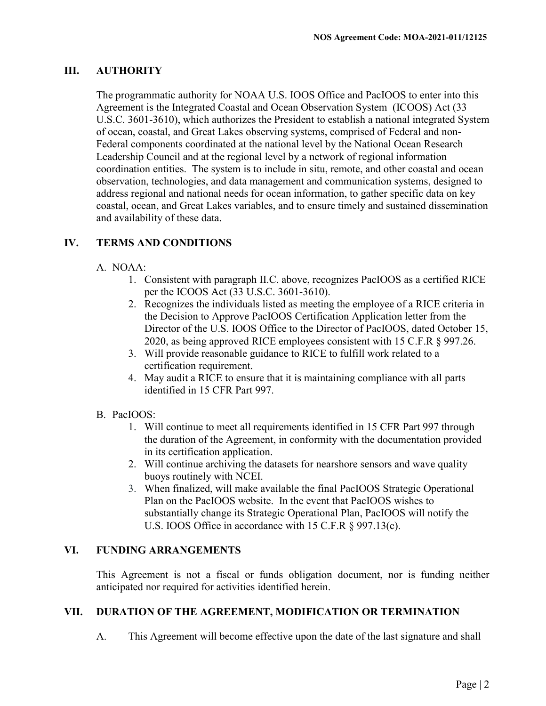## **III. AUTHORITY**

The programmatic authority for NOAA U.S. IOOS Office and PacIOOS to enter into this Agreement is the Integrated Coastal and Ocean Observation System (ICOOS) Act (33 U.S.C. 3601-3610), which authorizes the President to establish a national integrated System of ocean, coastal, and Great Lakes observing systems, comprised of Federal and non-Federal components coordinated at the national level by the National Ocean Research Leadership Council and at the regional level by a network of regional information coordination entities. The system is to include in situ, remote, and other coastal and ocean observation, technologies, and data management and communication systems, designed to address regional and national needs for ocean information, to gather specific data on key coastal, ocean, and Great Lakes variables, and to ensure timely and sustained dissemination and availability of these data.

## **IV. TERMS AND CONDITIONS**

## A. NOAA:

- 1. Consistent with paragraph II.C. above, recognizes PacIOOS as a certified RICE per the ICOOS Act (33 U.S.C. 3601-3610).
- 2. Recognizes the individuals listed as meeting the employee of a RICE criteria in the Decision to Approve PacIOOS Certification Application letter from the Director of the U.S. IOOS Office to the Director of PacIOOS, dated October 15, 2020, as being approved RICE employees consistent with 15 C.F.R § 997.26.
- 3. Will provide reasonable guidance to RICE to fulfill work related to a certification requirement.
- 4. May audit a RICE to ensure that it is maintaining compliance with all parts identified in 15 CFR Part 997.

## B. PacIOOS:

- 1. Will continue to meet all requirements identified in 15 CFR Part 997 through the duration of the Agreement, in conformity with the documentation provided in its certification application.
- 2. Will continue archiving the datasets for nearshore sensors and wave quality buoys routinely with NCEI.
- 3. When finalized, will make available the final PacIOOS Strategic Operational Plan on the PacIOOS website. In the event that PacIOOS wishes to substantially change its Strategic Operational Plan, PacIOOS will notify the U.S. IOOS Office in accordance with 15 C.F.R § 997.13(c).

## **VI. FUNDING ARRANGEMENTS**

This Agreement is not a fiscal or funds obligation document, nor is funding neither anticipated nor required for activities identified herein.

## **VII. DURATION OF THE AGREEMENT, MODIFICATION OR TERMINATION**

A. This Agreement will become effective upon the date of the last signature and shall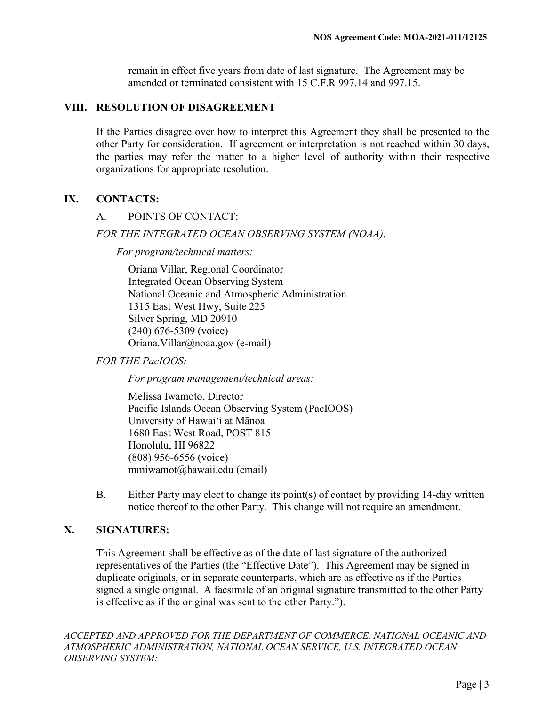remain in effect five years from date of last signature. The Agreement may be amended or terminated consistent with 15 C.F.R 997.14 and 997.15.

#### **VIII. RESOLUTION OF DISAGREEMENT**

If the Parties disagree over how to interpret this Agreement they shall be presented to the other Party for consideration. If agreement or interpretation is not reached within 30 days, the parties may refer the matter to a higher level of authority within their respective organizations for appropriate resolution.

### **IX. CONTACTS:**

### A. POINTS OF CONTACT:

#### *FOR THE INTEGRATED OCEAN OBSERVING SYSTEM (NOAA):*

*For program/technical matters:*

Oriana Villar, Regional Coordinator Integrated Ocean Observing System National Oceanic and Atmospheric Administration 1315 East West Hwy, Suite 225 Silver Spring, MD 20910 (240) 676-5309 (voice) Oriana.Villar@noaa.gov (e-mail)

*FOR THE PacIOOS:*

*For program management/technical areas:*

Melissa Iwamoto, Director Pacific Islands Ocean Observing System (PacIOOS) University of Hawaiʻi at Mānoa 1680 East West Road, POST 815 Honolulu, HI 96822 (808) 956-6556 (voice) mmiwamot@hawaii.edu (email)

B. Either Party may elect to change its point(s) of contact by providing 14-day written notice thereof to the other Party. This change will not require an amendment.

### **X. SIGNATURES:**

This Agreement shall be effective as of the date of last signature of the authorized representatives of the Parties (the "Effective Date"). This Agreement may be signed in duplicate originals, or in separate counterparts, which are as effective as if the Parties signed a single original. A facsimile of an original signature transmitted to the other Party is effective as if the original was sent to the other Party.").

*ACCEPTED AND APPROVED FOR THE DEPARTMENT OF COMMERCE, NATIONAL OCEANIC AND ATMOSPHERIC ADMINISTRATION, NATIONAL OCEAN SERVICE, U.S. INTEGRATED OCEAN OBSERVING SYSTEM:*